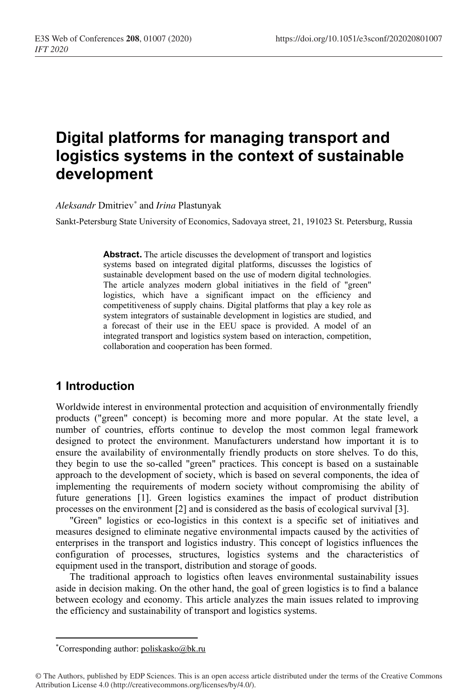# **Digital platforms for managing transport and logistics systems in the context of sustainable development**

*Aleksandr* Dmitriev*\** and *Irina* Plastunyak

Sankt-Petersburg State University of Economics, Sadovaya street, 21, 191023 St. Petersburg, Russia

**Abstract.** The article discusses the development of transport and logistics systems based on integrated digital platforms, discusses the logistics of sustainable development based on the use of modern digital technologies. The article analyzes modern global initiatives in the field of "green" logistics, which have a significant impact on the efficiency and competitiveness of supply chains. Digital platforms that play a key role as system integrators of sustainable development in logistics are studied, and a forecast of their use in the EEU space is provided. A model of an integrated transport and logistics system based on interaction, competition, collaboration and cooperation has been formed.

## **1 Introduction**

Worldwide interest in environmental protection and acquisition of environmentally friendly products ("green" concept) is becoming more and more popular. At the state level, a number of countries, efforts continue to develop the most common legal framework designed to protect the environment. Manufacturers understand how important it is to ensure the availability of environmentally friendly products on store shelves. To do this, they begin to use the so-called "green" practices. This concept is based on a sustainable approach to the development of society, which is based on several components, the idea of implementing the requirements of modern society without compromising the ability of future generations [1]. Green logistics examines the impact of product distribution processes on the environment [2] and is considered as the basis of ecological survival [3].

"Green" logistics or eco-logistics in this context is a specific set of initiatives and measures designed to eliminate negative environmental impacts caused by the activities of enterprises in the transport and logistics industry. This concept of logistics influences the configuration of processes, structures, logistics systems and the characteristics of equipment used in the transport, distribution and storage of goods.

The traditional approach to logistics often leaves environmental sustainability issues aside in decision making. On the other hand, the goal of green logistics is to find a balance between ecology and economy. This article analyzes the main issues related to improving the efficiency and sustainability of transport and logistics systems.

<sup>\*</sup>Corresponding author: poliskasko@bk.ru

<sup>©</sup> The Authors, published by EDP Sciences. This is an open access article distributed under the terms of the Creative Commons Attribution License 4.0 (http://creativecommons.org/licenses/by/4.0/).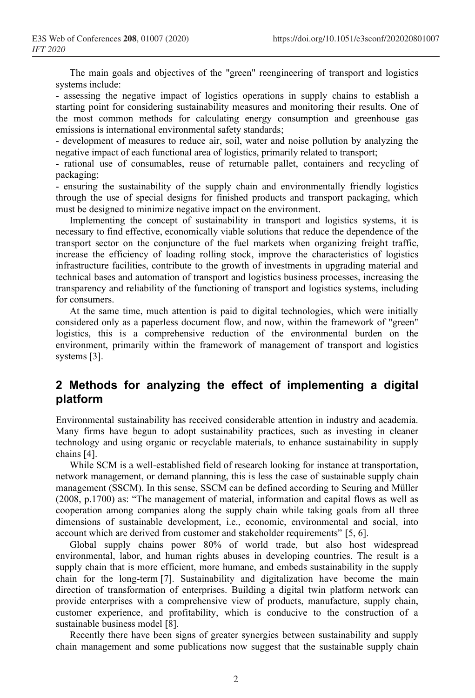The main goals and objectives of the "green" reengineering of transport and logistics systems include:

- assessing the negative impact of logistics operations in supply chains to establish a starting point for considering sustainability measures and monitoring their results. One of the most common methods for calculating energy consumption and greenhouse gas emissions is international environmental safety standards;

- development of measures to reduce air, soil, water and noise pollution by analyzing the negative impact of each functional area of logistics, primarily related to transport;

- rational use of consumables, reuse of returnable pallet, containers and recycling of packaging;

- ensuring the sustainability of the supply chain and environmentally friendly logistics through the use of special designs for finished products and transport packaging, which must be designed to minimize negative impact on the environment.

Implementing the concept of sustainability in transport and logistics systems, it is necessary to find effective, economically viable solutions that reduce the dependence of the transport sector on the conjuncture of the fuel markets when organizing freight traffic, increase the efficiency of loading rolling stock, improve the characteristics of logistics infrastructure facilities, contribute to the growth of investments in upgrading material and technical bases and automation of transport and logistics business processes, increasing the transparency and reliability of the functioning of transport and logistics systems, including for consumers.

At the same time, much attention is paid to digital technologies, which were initially considered only as a paperless document flow, and now, within the framework of "green" logistics, this is a comprehensive reduction of the environmental burden on the environment, primarily within the framework of management of transport and logistics systems [3].

# **2 Methods for analyzing the effect of implementing a digital platform**

Environmental sustainability has received considerable attention in industry and academia. Many firms have begun to adopt sustainability practices, such as investing in cleaner technology and using organic or recyclable materials, to enhance sustainability in supply chains [4].

While SCM is a well-established field of research looking for instance at transportation, network management, or demand planning, this is less the case of sustainable supply chain management (SSCM). In this sense, SSCM can be defined according to Seuring and Müller (2008, p.1700) as: "The management of material, information and capital flows as well as cooperation among companies along the supply chain while taking goals from all three dimensions of sustainable development, i.e., economic, environmental and social, into account which are derived from customer and stakeholder requirements" [5, 6].

Global supply chains power 80% of world trade, but also host widespread environmental, labor, and human rights abuses in developing countries. The result is a supply chain that is more efficient, more humane, and embeds sustainability in the supply chain for the long-term [7]. Sustainability and digitalization have become the main direction of transformation of enterprises. Building a digital twin platform network can provide enterprises with a comprehensive view of products, manufacture, supply chain, customer experience, and profitability, which is conducive to the construction of a sustainable business model [8].

Recently there have been signs of greater synergies between sustainability and supply chain management and some publications now suggest that the sustainable supply chain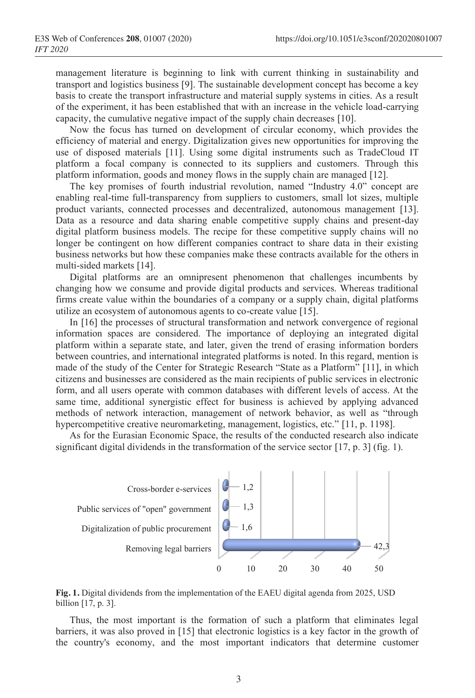management literature is beginning to link with current thinking in sustainability and transport and logistics business [9]. The sustainable development concept has become a key basis to create the transport infrastructure and material supply systems in cities. As a result of the experiment, it has been established that with an increase in the vehicle load-carrying capacity, the cumulative negative impact of the supply chain decreases [10].

Now the focus has turned on development of circular economy, which provides the efficiency of material and energy. Digitalization gives new opportunities for improving the use of disposed materials [11]. Using some digital instruments such as TradeCloud IT platform a focal company is connected to its suppliers and customers. Through this platform information, goods and money flows in the supply chain are managed [12].

The key promises of fourth industrial revolution, named "Industry 4.0" concept are enabling real-time full-transparency from suppliers to customers, small lot sizes, multiple product variants, connected processes and decentralized, autonomous management [13]. Data as a resource and data sharing enable competitive supply chains and present-day digital platform business models. The recipe for these competitive supply chains will no longer be contingent on how different companies contract to share data in their existing business networks but how these companies make these contracts available for the others in multi-sided markets [14].

Digital platforms are an omnipresent phenomenon that challenges incumbents by changing how we consume and provide digital products and services. Whereas traditional firms create value within the boundaries of a company or a supply chain, digital platforms utilize an ecosystem of autonomous agents to co-create value [15].

In [16] the processes of structural transformation and network convergence of regional information spaces are considered. The importance of deploying an integrated digital platform within a separate state, and later, given the trend of erasing information borders between countries, and international integrated platforms is noted. In this regard, mention is made of the study of the Center for Strategic Research "State as a Platform" [11], in which citizens and businesses are considered as the main recipients of public services in electronic form, and all users operate with common databases with different levels of access. At the same time, additional synergistic effect for business is achieved by applying advanced methods of network interaction, management of network behavior, as well as "through hypercompetitive creative neuromarketing, management, logistics, etc." [11, p. 1198].

As for the Eurasian Economic Space, the results of the conducted research also indicate significant digital dividends in the transformation of the service sector [17, p. 3] (fig. 1).





Thus, the most important is the formation of such a platform that eliminates legal barriers, it was also proved in [15] that electronic logistics is a key factor in the growth of the country's economy, and the most important indicators that determine customer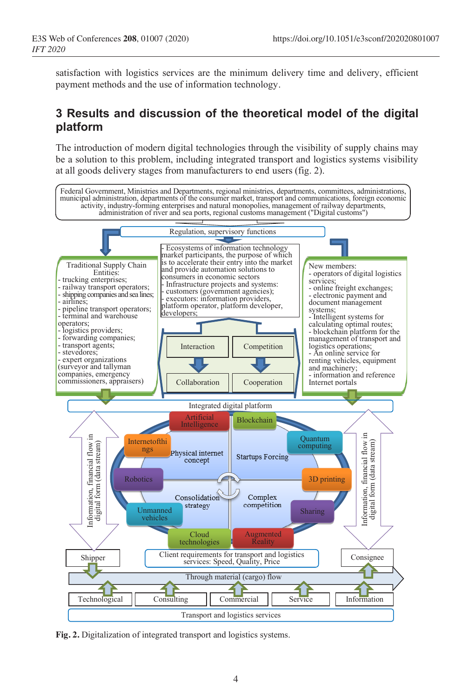satisfaction with logistics services are the minimum delivery time and delivery, efficient payment methods and the use of information technology.

# **3 Results and discussion of the theoretical model of the digital platform**

The introduction of modern digital technologies through the visibility of supply chains may be a solution to this problem, including integrated transport and logistics systems visibility at all goods delivery stages from manufacturers to end users (fig. 2).



**Fig. 2.** Digitalization of integrated transport and logistics systems.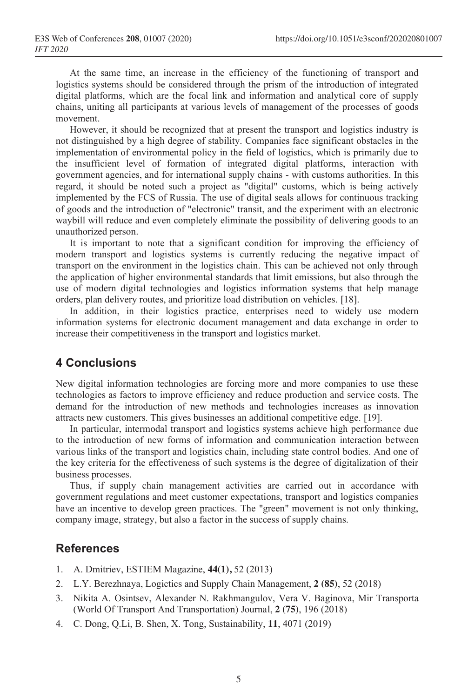At the same time, an increase in the efficiency of the functioning of transport and logistics systems should be considered through the prism of the introduction of integrated digital platforms, which are the focal link and information and analytical core of supply chains, uniting all participants at various levels of management of the processes of goods movement.

However, it should be recognized that at present the transport and logistics industry is not distinguished by a high degree of stability. Companies face significant obstacles in the implementation of environmental policy in the field of logistics, which is primarily due to the insufficient level of formation of integrated digital platforms, interaction with government agencies, and for international supply chains - with customs authorities. In this regard, it should be noted such a project as "digital" customs, which is being actively implemented by the FCS of Russia. The use of digital seals allows for continuous tracking of goods and the introduction of "electronic" transit, and the experiment with an electronic waybill will reduce and even completely eliminate the possibility of delivering goods to an unauthorized person.

It is important to note that a significant condition for improving the efficiency of modern transport and logistics systems is currently reducing the negative impact of transport on the environment in the logistics chain. This can be achieved not only through the application of higher environmental standards that limit emissions, but also through the use of modern digital technologies and logistics information systems that help manage orders, plan delivery routes, and prioritize load distribution on vehicles. [18].

In addition, in their logistics practice, enterprises need to widely use modern information systems for electronic document management and data exchange in order to increase their competitiveness in the transport and logistics market.

## **4 Conclusions**

New digital information technologies are forcing more and more companies to use these technologies as factors to improve efficiency and reduce production and service costs. The demand for the introduction of new methods and technologies increases as innovation attracts new customers. This gives businesses an additional competitive edge. [19].

In particular, intermodal transport and logistics systems achieve high performance due to the introduction of new forms of information and communication interaction between various links of the transport and logistics chain, including state control bodies. And one of the key criteria for the effectiveness of such systems is the degree of digitalization of their business processes.

Thus, if supply chain management activities are carried out in accordance with government regulations and meet customer expectations, transport and logistics companies have an incentive to develop green practices. The "green" movement is not only thinking, company image, strategy, but also a factor in the success of supply chains.

#### **References**

- 1. A. Dmitriev, ESTIEM Magazine, **44(1),** 52 (2013)
- 2. L.Y. Berezhnaya, Logictics and Supply Chain Management, **2 (85)**, 52 (2018)
- 3. Nikita A. Osintsev, Alexander N. Rakhmangulov, Vera V. Baginova, Mir Transporta (World Of Transport And Transportation) Journal, **2 (75)**, 196 (2018)
- 4. C. Dong, Q.Li, B. Shen, X. Tong, Sustainability, **11**, 4071 (2019)